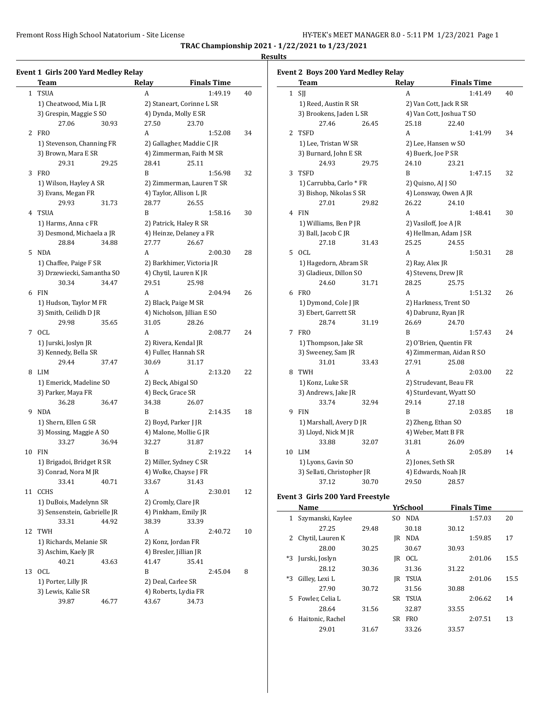**TRAC Championship 2021 - 1/22/2021 to 1/23/2021**

#### **Results**

### **Event 1 Girls 200 Yard Medley Relay Team Relay Finals Time** 1 TSUA A 1:49.19 40 1) Cheatwood, Mia L JR 2) Staneart, Corinne L SR 3) Grespin, Maggie S SO 4) Dynda, Molly E SR 27.06 30.93 27.50 23.70 2 FRO A 1:52.08 34 1) Stevenson, Channing FR 2) Gallagher, Maddie C JR 3) Brown, Mara E SR 4) Zimmerman, Faith M SR 29.31 29.25 28.41 25.11 3 FRO B 1:56.98 32 1) Wilson, Hayley A SR 2) Zimmerman, Lauren T SR 3) Evans, Megan FR 4) Taylor, Allison L JR 29.93 31.73 28.77 26.55 4 TSUA B 1:58.16 30 1) Harms, Anna c FR 2) Patrick, Haley R SR 3) Desmond, Michaela a JR 4) Heinze, Delaney a FR 28.84 34.88 27.77 26.67 5 NDA A 2:00.30 28 1) Chaffee, Paige F SR 2) Barkhimer, Victoria JR 3) Drzewiecki, Samantha SO 4) Chytil, Lauren K JR 30.34 34.47 29.51 25.98 6 FIN A 2:04.94 26 1) Hudson, Taylor M FR 2) Black, Paige M SR 3) Smith, Ceilidh D JR 4) Nicholson, Jillian E SO 29.98 35.65 31.05 28.26 7 OCL A 2:08.77 24 1) Jurski, Joslyn JR 2) Rivera, Kendal JR 3) Kennedy, Bella SR 4) Fuller, Hannah SR 29.44 37.47 30.69 31.17 8 LIM A 2:13.20 22 1) Emerick, Madeline SO 2) Beck, Abigal SO 3) Parker, Maya FR 4) Beck, Grace SR 36.28 36.47 34.38 26.07 9 NDA B 2:14.35 18 1) Shern, Ellen G SR 2) Boyd, Parker J JR 3) Mossing, Maggie A SO 4) Malone, Mollie G JR 33.27 36.94 32.27 31.87 10 FIN B 2:19.22 14 1) Brigadoi, Bridget R SR 2) Miller, Sydney C SR 3) Conrad, Nora M JR 4) Wolke, Chayse J FR 33.41 40.71 33.67 31.43 11 CCHS A 2:30.01 12 1) DuBois, Madelynn SR 2) Cromly, Clare JR 3) Sensenstein, Gabrielle JR 4) Pinkham, Emily JR 33.31 44.92 38.39 33.39 12 TWH A 2:40.72 10 1) Richards, Melanie SR 2) Konz, Jordan FR 3) Aschim, Kaely JR 4) Bresler, Jillian JR 40.21 43.63 41.47 35.41 13 OCL B 2:45.04 8 1) Porter, Lilly JR 2) Deal, Carlee SR 3) Lewis, Kalie SR 4) Roberts, Lydia FR

39.87 46.77 43.67 34.73

|              | Event 2 Boys 200 Yard Medley Relay<br>Team |       | Relay              | <b>Finals Time</b>                |    |
|--------------|--------------------------------------------|-------|--------------------|-----------------------------------|----|
| $\mathbf{1}$ | SJJ                                        |       | A                  | 1:41.49                           | 40 |
|              |                                            |       |                    |                                   |    |
|              | 1) Reed, Austin R SR                       |       |                    | 2) Van Cott, Jack R SR            |    |
|              | 3) Brookens, Jaden L SR<br>27.46           |       |                    | 4) Van Cott, Joshua T SO<br>22.40 |    |
|              |                                            | 26.45 | 25.18              |                                   |    |
| 2            | <b>TSFD</b>                                |       | A                  | 1:41.99                           | 34 |
|              | 1) Lee, Tristan W SR                       |       |                    | 2) Lee, Hansen w SO               |    |
|              | 3) Burnard, John E SR                      |       | 4) Buerk, Joe P SR |                                   |    |
|              | 24.93                                      | 29.75 | 24.10              | 23.21                             |    |
| 3            | <b>TSFD</b>                                |       | B                  | 1:47.15                           | 32 |
|              | 1) Carrubba, Carlo * FR                    |       | 2) Quisno, AJ J SO |                                   |    |
|              | 3) Bishop, Nikolas S SR                    |       |                    | 4) Lonsway, Owen A JR             |    |
|              | 27.01                                      | 29.82 | 26.22              | 24.10                             |    |
| 4            | <b>FIN</b>                                 |       | A                  | 1:48.41                           | 30 |
|              | 1) Williams, Ben P JR                      |       |                    | 2) Vasiloff, Joe A JR             |    |
|              | 3) Ball, Jacob C JR                        |       |                    | 4) Hellman, Adam J SR             |    |
|              | 27.18                                      | 31.43 | 25.25              | 24.55                             |    |
| 5            | <b>OCL</b>                                 |       | A                  | 1:50.31                           | 28 |
|              | 1) Hagedorn, Abram SR                      |       | 2) Ray, Alex JR    |                                   |    |
|              | 3) Gladieux, Dillon SO                     |       |                    | 4) Stevens, Drew JR               |    |
|              | 24.60                                      | 31.71 | 28.25              | 25.75                             |    |
| 6            | <b>FRO</b>                                 |       | A                  | 1:51.32                           | 26 |
|              | 1) Dymond, Cole J JR                       |       |                    | 2) Harkness, Trent SO             |    |
|              | 3) Ebert, Garrett SR                       |       |                    | 4) Dabrunz, Ryan JR               |    |
|              | 28.74                                      | 31.19 | 26.69              | 24.70                             |    |
| 7            | <b>FRO</b>                                 |       | B                  | 1:57.43                           | 24 |
|              | 1) Thompson, Jake SR                       |       |                    | 2) O'Brien, Quentin FR            |    |
|              | 3) Sweeney, Sam JR                         |       |                    | 4) Zimmerman, Aidan R SO          |    |
|              | 31.01                                      | 33.43 | 27.91              | 25.08                             |    |
| 8            | <b>TWH</b>                                 |       | A                  | 2:03.00                           | 22 |
|              | 1) Konz, Luke SR                           |       |                    | 2) Strudevant, Beau FR            |    |
|              | 3) Andrews, Jake JR                        |       |                    | 4) Sturdevant, Wyatt SO           |    |
|              | 33.74                                      | 32.94 | 29.14              | 27.18                             |    |
| 9            | FIN                                        |       | B                  | 2:03.85                           | 18 |
|              | 1) Marshall, Avery D JR                    |       |                    | 2) Zheng, Ethan SO                |    |
|              | 3) Lloyd, Nick M JR                        |       |                    | 4) Weber, Matt B FR               |    |
|              | 33.88                                      | 32.07 | 31.81              | 26.09                             |    |
| 10           | LIM                                        |       | A                  | 2:05.89                           | 14 |
|              | 1) Lyons, Gavin SO                         |       | 2) Jones, Seth SR  |                                   |    |
|              | 3) Sellati, Christopher JR                 |       |                    | 4) Edwards, Noah JR               |    |
|              | 37.12                                      | 30.70 | 29.50              | 28.57                             |    |
|              |                                            |       |                    |                                   |    |

## **Event 3 Girls 200 Yard Freestyle**

|    | Name              |       |     | YrSchool    |       | <b>Finals Time</b> |      |
|----|-------------------|-------|-----|-------------|-------|--------------------|------|
| 1  | Szymanski, Kaylee |       | SO. | <b>NDA</b>  |       | 1:57.03            | 20   |
|    | 27.25             | 29.48 |     | 30.18       | 30.12 |                    |      |
| 2  | Chytil, Lauren K  |       | IR  | <b>NDA</b>  |       | 1:59.85            | 17   |
|    | 28.00             | 30.25 |     | 30.67       | 30.93 |                    |      |
| *3 | Jurski, Joslyn    |       | IR  | <b>OCL</b>  |       | 2:01.06            | 15.5 |
|    | 28.12             | 30.36 |     | 31.36       | 31.22 |                    |      |
| *3 | Gilley, Lexi L    |       | IR  | <b>TSUA</b> |       | 2:01.06            | 15.5 |
|    | 27.90             | 30.72 |     | 31.56       | 30.88 |                    |      |
| 5. | Fowler. Celia L   |       | SR. | <b>TSUA</b> |       | 2:06.62            | 14   |
|    | 28.64             | 31.56 |     | 32.87       | 33.55 |                    |      |
| 6  | Haitonic, Rachel  |       | SR. | <b>FRO</b>  |       | 2:07.51            | 13   |
|    | 29.01             | 31.67 |     | 33.26       | 33.57 |                    |      |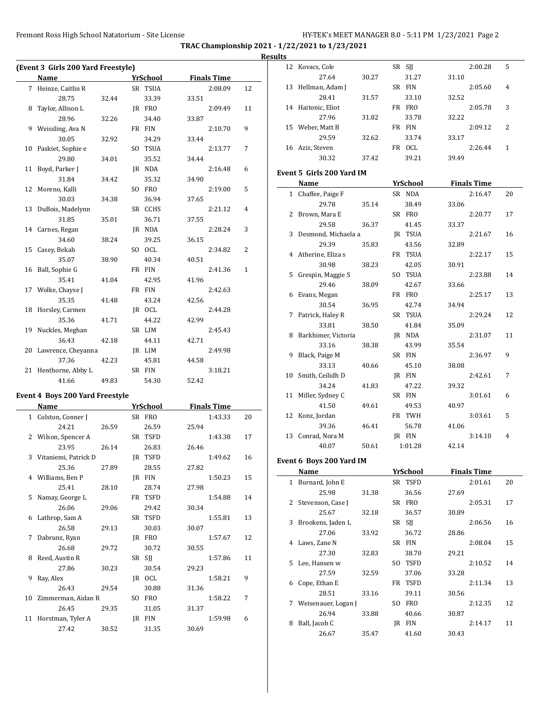**TRAC Championship 2021 - 1/22/2021 to 1/23/2021**

|    |                    |       |                 |       | (Event 3 Girls 200 Yard Freestyle)             |   |
|----|--------------------|-------|-----------------|-------|------------------------------------------------|---|
|    | <b>Finals Time</b> |       | <b>YrSchool</b> |       | Name                                           |   |
| 12 | 2:08.09            |       | SR TSUA         |       | 7 Heinze, Caitlin R                            |   |
|    |                    | 33.51 | 33.39           | 32.44 | 28.75                                          |   |
| 11 | 2:09.49            |       | IR FRO          |       | Taylor, Allison L                              | 8 |
|    |                    | 33.87 | 34.40           | 32.26 | 28.96                                          |   |
| 9  | 2:10.70            |       | FR FIN          |       | 9 Weissling, Ava N                             |   |
|    |                    | 33.44 | 34.29           | 32.92 | 30.05                                          |   |
| 7  | 2:13.77            |       | SO TSUA         |       | 10 Paskiet, Sophie e                           |   |
|    |                    | 34.44 | 35.52           | 34.01 | 29.80                                          |   |
| 6  | 2:16.48            |       | JR NDA          |       | 11 Boyd, Parker J                              |   |
|    |                    | 34.90 | 35.32           | 34.42 | 31.84                                          |   |
| 5  | 2:19.00            |       | SO FRO          |       | 12 Moreno, Kalli                               |   |
|    |                    | 37.65 | 36.94           | 34.38 | 30.03                                          |   |
| 4  | 2:21.12            |       | SR CCHS         |       | 13 DuBois, Madelynn                            |   |
|    |                    | 37.55 | 36.71           | 35.01 | 31.85                                          |   |
| 3  | 2:28.24            |       | JR NDA          |       | 14 Carnes, Regan                               |   |
|    |                    | 36.15 | 39.25           | 38.24 | 34.60                                          |   |
| 2  | 2:34.82            |       | SO OCL          |       | 15 Casey, Bekah                                |   |
|    |                    | 40.51 | 40.34           | 38.90 | 35.07                                          |   |
|    |                    |       |                 |       |                                                |   |
| 1  | 2:41.36            |       | FR FIN          |       | 16 Ball, Sophie G                              |   |
|    |                    | 41.96 | 42.95           | 41.04 | 35.41                                          |   |
|    | 2:42.63            |       | FR FIN          |       | 17 Wolke, Chayse J                             |   |
|    |                    | 42.56 | 43.24           | 41.48 | 35.35                                          |   |
|    | 2:44.28            |       | JR OCL          |       | 18 Horsley, Carmen                             |   |
|    |                    | 42.99 | 44.22           | 41.71 | 35.36                                          |   |
|    | 2:45.43            |       | SR LIM          |       | 19 Nuckles, Meghan                             |   |
|    |                    | 42.71 | 44.11           | 42.18 | 36.43                                          |   |
|    | 2:49.98            |       | JR LIM          |       | 20 Lawrence, Cheyanna                          |   |
|    |                    | 44.58 | 45.81           | 42.23 | 37.36                                          |   |
|    | 3:18.21            |       | SR FIN          |       | 21 Henthorne, Abby L                           |   |
|    |                    | 52.42 | 54.30           | 49.83 | 41.66                                          |   |
|    |                    |       |                 |       |                                                |   |
|    | <b>Finals Time</b> |       | <b>YrSchool</b> |       | <b>Event 4 Boys 200 Yard Freestyle</b><br>Name |   |
| 20 | 1:43.33            |       | SR FRO          |       | 1 Colston, Conner J                            |   |
|    |                    |       | 26.59           |       |                                                |   |
|    |                    |       |                 | 26.59 | 24.21                                          |   |
|    |                    | 25.94 |                 |       |                                                |   |
| 17 | 1:43.38            |       | SR TSFD         |       | 2 Wilson, Spencer A                            |   |
|    |                    | 26.46 | 26.83           | 26.14 | 23.95                                          |   |
| 16 | 1:49.62            |       | JR TSFD         |       | 3 Vitaniemi, Patrick D                         |   |
|    |                    | 27.82 | 28.55           | 27.89 | 25.36                                          |   |
| 15 | 1:50.23            |       | JR FIN          |       | 4 Williams, Ben P                              |   |
|    |                    | 27.98 | 28.74           | 28.10 | 25.41                                          |   |
| 14 | 1:54.88            |       | FR TSFD         |       | 5 Namay, George L                              |   |
|    |                    | 30.34 | 29.42           | 29.06 | 26.06                                          |   |
| 13 | 1:55.81            |       | SR TSFD         |       | 6 Lathrop, Sam A                               |   |
|    |                    | 30.07 | 30.03           | 29.13 | 26.58                                          |   |
| 12 | 1:57.67            |       | JR FRO          |       | 7 Dabrunz, Ryan                                |   |
|    |                    | 30.55 |                 | 29.72 | 26.68                                          |   |
|    |                    |       | 30.72           |       |                                                |   |
| 11 | 1:57.86            |       | SR SJJ          |       | 8 Reed, Austin R                               |   |
|    |                    | 29.23 | 30.54           | 30.23 | 27.86                                          |   |
| 9  | 1:58.21            |       | JR OCL          |       | Ray, Alex                                      | 9 |
|    |                    | 31.36 | 30.88           | 29.54 | 26.43                                          |   |
| 7  | 1:58.22            |       | SO FRO          |       | 10 Zimmerman, Aidan R                          |   |
|    |                    | 31.37 | 31.05           | 29.35 | 26.45                                          |   |
| 6  | 1:59.98            | 30.69 | JR FIN<br>31.35 | 30.52 | 11 Horstman, Tyler A<br>27.42                  |   |

| шь           |                              |       |                           |       |                               |                |
|--------------|------------------------------|-------|---------------------------|-------|-------------------------------|----------------|
| 12           | Kovacs, Cole                 |       | SR SJJ                    |       | 2:00.28                       | 5              |
|              | 27.64                        | 30.27 | 31.27                     | 31.10 |                               |                |
| 13           | Hellman, Adam J              |       | SR FIN                    |       | 2:05.60                       | 4              |
|              | 28.41                        | 31.57 | 33.10                     | 32.52 |                               |                |
|              | 14 Haitonic, Eliot           |       | FR FRO                    |       | 2:05.78                       | 3              |
|              | 27.96                        | 31.82 | 33.78                     | 32.22 |                               |                |
|              | 15 Weber, Matt B             |       | FR FIN                    |       | 2:09.12                       | 2              |
|              | 29.59                        | 32.62 | 33.74                     | 33.17 |                               |                |
|              | 16 Aziz, Steven              |       | FR OCL                    |       | 2:26.44                       | $\mathbf{1}$   |
|              | 30.32                        | 37.42 | 39.21                     | 39.49 |                               |                |
|              | Event 5 Girls 200 Yard IM    |       |                           |       |                               |                |
|              |                              |       |                           |       |                               |                |
|              | Name<br>1 Chaffee, Paige F   |       | <b>YrSchool</b><br>SR NDA |       | <b>Finals Time</b><br>2:16.47 | 20             |
|              | 29.78                        |       | 38.49                     |       |                               |                |
|              | 2 Brown, Mara E              | 35.14 | SR FRO                    | 33.06 |                               | 17             |
|              | 29.58                        |       |                           |       | 2:20.77                       |                |
|              |                              | 36.37 | 41.45                     | 33.37 |                               |                |
|              | 3 Desmond, Michaela a        |       | JR TSUA                   |       | 2:21.67                       | 16             |
|              | 29.39<br>4 Atherine, Eliza s | 35.83 | 43.56                     | 32.89 | 2:22.17                       |                |
|              | 30.98                        |       | FR TSUA                   |       |                               | 15             |
|              |                              | 38.23 | 42.05                     | 30.91 |                               |                |
| 5            | Grespin, Maggie S            |       | SO TSUA                   |       | 2:23.88                       | 14             |
|              | 29.46                        | 38.09 | 42.67                     | 33.66 |                               |                |
| 6            | Evans, Megan                 |       | FR FRO                    |       | 2:25.17                       | 13             |
|              | 30.54                        | 36.95 | 42.74                     | 34.94 |                               |                |
| 7            | Patrick, Haley R             |       | SR TSUA                   |       | 2:29.24                       | 12             |
|              | 33.81                        | 38.50 | 41.84                     | 35.09 |                               |                |
|              | 8 Barkhimer, Victoria        |       | JR NDA                    |       | 2:31.07                       | 11             |
|              | 33.16                        | 38.38 | 43.99                     | 35.54 |                               |                |
| 9            | Black, Paige M               |       | SR FIN                    |       | 2:36.97                       | 9              |
|              | 33.13                        | 40.66 | 45.10                     | 38.08 |                               |                |
| 10           | Smith, Ceilidh D             |       | JR FIN                    |       | 2:42.61                       | 7              |
|              | 34.24                        | 41.83 | 47.22                     | 39.32 |                               |                |
| 11           | Miller, Sydney C             |       | SR FIN                    |       | 3:01.61                       | 6              |
|              | 41.50                        | 49.61 | 49.53                     | 40.97 |                               |                |
| 12           | Konz, Jordan                 |       | FR TWH                    |       | 3:03.61                       | 5              |
|              | 39.36                        | 46.41 | 56.78                     | 41.06 |                               |                |
|              | 13 Conrad, Nora M            |       | JR FIN                    |       | 3:14.10                       | $\overline{4}$ |
|              | 40.07                        | 50.61 | 1:01.28                   | 42.14 |                               |                |
|              | Event 6 Boys 200 Yard IM     |       |                           |       |                               |                |
|              | Name                         |       | <u>YrSchool</u>           |       | <b>Finals Time</b>            |                |
| $\mathbf{1}$ | Burnard, John E              |       | SR TSFD                   |       | 2:01.61                       | 20             |
|              | 25.98                        | 31.38 | 36.56                     | 27.69 |                               |                |
|              | 2 Stevenson, Case J          |       | SR FRO                    |       | 2:05.31                       | 17             |
|              | 25.67                        | 32.18 | 36.57                     | 30.89 |                               |                |
| 3            | Brookens, Jaden L            |       | SR SJJ                    |       | 2:06.56                       | 16             |
|              | 27.06                        | 33.92 | 36.72                     | 28.86 |                               |                |
| 4            | Laws, Zane N                 |       | SR FIN                    |       | 2:08.04                       | 15             |
|              | 27.30                        | 32.83 | 38.70                     | 29.21 |                               |                |
| 5            | Lee, Hansen w                |       | SO TSFD                   |       | 2:10.52                       | 14             |
|              | 27.59                        | 32.59 | 37.06                     | 33.28 |                               |                |
| 6            | Cope, Ethan E                |       | FR TSFD                   |       | 2:11.34                       | 13             |
|              | 28.51                        | 33.16 | 39.11                     | 30.56 |                               |                |
| 7            | Weisenauer, Logan J          |       | SO FRO                    |       | 2:12.35                       | 12             |
|              | 26.94                        | 33.88 | 40.66                     | 30.87 |                               |                |
| 8            | Ball, Jacob C                |       | JR FIN                    |       | 2:14.17                       | 11             |
|              | 26.67                        | 35.47 | 41.60                     | 30.43 |                               |                |
|              |                              |       |                           |       |                               |                |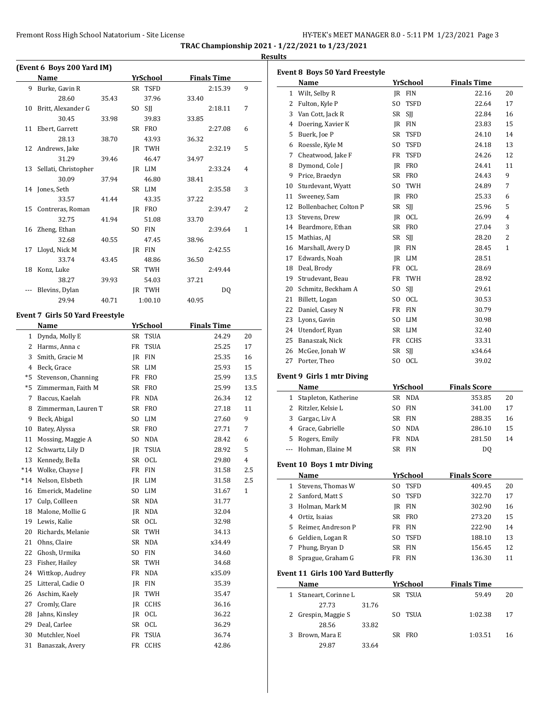|          | (Event 6 Boys 200 Yard IM)<br>Name |       |    | <u>YrSchool</u> |       | <b>Finals Time</b> |      |
|----------|------------------------------------|-------|----|-----------------|-------|--------------------|------|
|          | 9 Burke, Gavin R                   |       |    | SR TSFD         |       | 2:15.39            | 9    |
|          | 28.60                              | 35.43 |    | 37.96           | 33.40 |                    |      |
| 10       | Britt, Alexander G                 |       |    | SO SJJ          |       | 2:18.11            | 7    |
|          | 30.45                              | 33.98 |    | 39.83           | 33.85 |                    |      |
| 11       | Ebert, Garrett                     |       |    | SR FRO          |       | 2:27.08            | 6    |
|          | 28.13                              | 38.70 |    | 43.93           | 36.32 |                    |      |
|          | 12 Andrews, Jake                   |       |    | IR TWH          |       | 2:32.19            | 5    |
|          | 31.29                              | 39.46 |    | 46.47           | 34.97 |                    |      |
| 13       | Sellati, Christopher               |       |    | IR LIM          |       | 2:33.24            | 4    |
|          | 30.09                              | 37.94 |    | 46.80           | 38.41 |                    |      |
|          | 14 Jones, Seth                     |       |    | SR LIM          |       | 2:35.58            | 3    |
|          | 33.57                              | 41.44 |    | 43.35           | 37.22 |                    |      |
| 15       | Contreras, Roman                   |       |    | JR FRO          |       | 2:39.47            | 2    |
|          | 32.75                              | 41.94 |    | 51.08           | 33.70 |                    |      |
| 16       | Zheng, Ethan                       |       |    | SO FIN          |       | 2:39.64            | 1    |
|          | 32.68                              | 40.55 |    | 47.45           | 38.96 |                    |      |
| 17       | Lloyd, Nick M                      |       |    | JR FIN          |       | 2:42.55            |      |
|          | 33.74                              | 43.45 |    | 48.86           | 36.50 |                    |      |
| 18       | Konz, Luke                         |       |    | SR TWH          |       | 2:49.44            |      |
|          | 38.27                              | 39.93 |    | 54.03           | 37.21 |                    |      |
|          | Blevins, Dylan                     |       |    | JR TWH          |       | DQ                 |      |
|          | 29.94                              | 40.71 |    | 1:00.10         | 40.95 |                    |      |
|          |                                    |       |    |                 |       |                    |      |
|          | Event 7 Girls 50 Yard Freestyle    |       |    |                 |       |                    |      |
|          | <b>Name</b>                        |       |    | <b>YrSchool</b> |       | <b>Finals Time</b> |      |
|          | 1 Dynda, Molly E                   |       |    | SR TSUA         |       | 24.29              | 20   |
|          | 2 Harms, Anna c                    |       |    | FR TSUA         |       | 25.25              | 17   |
|          | 3 Smith, Gracie M                  |       |    | JR FIN          |       | 25.35              | 16   |
|          | 4 Beck, Grace                      |       |    | SR LIM          |       | 25.93              | 15   |
| *5       | Stevenson, Channing                |       |    | FR FRO          |       | 25.99              | 13.5 |
| *5       | Zimmerman, Faith M                 |       |    | SR FRO          |       | 25.99              | 13.5 |
| 7        | Baccus, Kaelah                     |       |    | FR NDA          |       | 26.34              | 12   |
| 8        | Zimmerman, Lauren T                |       |    | SR FRO          |       | 27.18              | 11   |
| 9        | Beck, Abigal                       |       |    | SO LIM          |       | 27.60              | 9    |
| 10       | Batey, Alyssa                      |       |    | SR FRO          |       | 27.71              | 7    |
| 11       | Mossing, Maggie A                  |       |    | SO NDA          |       | 28.42              | 6    |
| 12       | Schwartz, Lily D                   |       |    | JR TSUA         |       | 28.92              | 5    |
|          | 13 Kennedy, Bella                  |       |    | SR OCL          |       | 29.80              | 4    |
| $*14$    | Wolke, Chayse J                    |       | FR | <b>FIN</b>      |       | 31.58              | 2.5  |
| $*14$    | Nelson, Elsbeth                    |       |    | JR LIM          |       | 31.58              | 2.5  |
| 16       | Emerick, Madeline                  |       | SO | LIM             |       | 31.67              | 1    |
| 17       | Culp, Collleen                     |       | SR | NDA             |       | 31.77              |      |
| 18       | Malone, Mollie G                   |       |    | JR NDA          |       | 32.04              |      |
| 19       | Lewis, Kalie                       |       |    | SR OCL          |       | 32.98              |      |
| 20       | Richards, Melanie                  |       |    | SR TWH          |       | 34.13              |      |
| 21       | Ohns, Claire                       |       |    | SR NDA          |       | x34.49             |      |
| 22       | Ghosh, Urmika                      |       | SO | <b>FIN</b>      |       | 34.60              |      |
| 23       |                                    |       |    |                 |       |                    |      |
|          | Fisher, Hailey                     |       | SR | TWH             |       | 34.68              |      |
| 24       | Wittkop, Audrey                    |       |    | FR NDA          |       | x35.09             |      |
| 25       | Litteral, Cadie O                  |       |    | JR FIN          |       | 35.39              |      |
| 26       | Aschim, Kaely                      |       |    | JR TWH          |       | 35.47              |      |
| 27       | Cromly, Clare                      |       |    | JR CCHS         |       | 36.16              |      |
|          | Jahns, Kinsley                     |       |    | JR OCL          |       | 36.22              |      |
| 28       |                                    |       |    |                 |       |                    |      |
| 29       | Deal, Carlee                       |       | SR | OCL             |       | 36.29              |      |
| 30<br>31 | Mutchler, Noel<br>Banaszak, Avery  |       | FR | TSUA<br>FR CCHS |       | 36.74<br>42.86     |      |

|              | <b>Event 8 Boys 50 Yard Freestyle</b>    |       |          |                          |                               |          |
|--------------|------------------------------------------|-------|----------|--------------------------|-------------------------------|----------|
|              | Name                                     |       |          | <b>YrSchool</b>          | <b>Finals Time</b>            |          |
|              | 1 Wilt, Selby R                          |       |          | JR FIN                   | 22.16                         | 20       |
|              | 2 Fulton, Kyle P                         |       | SO.      | TSFD                     | 22.64                         | 17       |
|              | 3 Van Cott, Jack R                       |       | SR       | <b>SII</b>               | 22.84                         | 16       |
|              | 4 Doering, Xavier K                      |       |          | JR FIN                   | 23.83                         | 15       |
|              | 5 Buerk, Joe P                           |       | SR.      | <b>TSFD</b>              | 24.10                         | 14       |
|              | 6 Roessle, Kyle M                        |       | SO.      | <b>TSFD</b>              | 24.18                         | 13       |
|              | 7 Cheatwood, Jake F                      |       | FR       | TSFD                     | 24.26                         | 12       |
|              | 8 Dymond, Cole J                         |       |          | JR FRO                   | 24.41                         | 11       |
|              | 9 Price, Braedyn                         |       |          | SR FRO                   | 24.43                         | 9        |
|              | 10 Sturdevant, Wyatt                     |       | SO.      | TWH                      | 24.89                         | 7        |
|              | 11 Sweeney, Sam                          |       |          | JR FRO                   | 25.33                         | 6        |
|              | 12 Bollenbacher, Colton P                |       | SR       | <b>SII</b>               | 25.96                         | 5        |
|              | 13 Stevens, Drew                         |       | JR       | <b>OCL</b>               | 26.99                         | 4        |
|              | 14 Beardmore, Ethan                      |       |          | SR FRO                   | 27.04                         | 3        |
|              | 15 Mathias, AJ                           |       | SR       | <b>SII</b>               | 28.20                         | 2        |
|              | 16 Marshall, Avery D                     |       |          | JR FIN                   | 28.45                         | 1        |
|              | 17 Edwards, Noah                         |       |          | IR LIM                   | 28.51                         |          |
|              | 18 Deal, Brody                           |       | FR       | <b>OCL</b>               | 28.69                         |          |
|              | 19 Strudevant, Beau                      |       | FR       | TWH                      | 28.92                         |          |
|              | 20 Schmitz, Beckham A                    |       | SO.      | SJJ                      | 29.61                         |          |
|              | 21 Billett, Logan                        |       |          | SO OCL                   | 30.53                         |          |
|              | 22 Daniel, Casey N                       |       |          | FR FIN                   | 30.79                         |          |
|              | 23 Lyons, Gavin                          |       |          | SO LIM                   | 30.98                         |          |
|              | 24 Utendorf, Ryan                        |       |          | SR LIM                   | 32.40                         |          |
|              | 25 Banaszak, Nick                        |       | FR       | <b>CCHS</b>              | 33.31                         |          |
|              | 26 McGee, Jonah W                        |       | SR       | SJJ                      | x34.64                        |          |
|              | 27 Porter, Theo                          |       |          | SO OCL                   | 39.02                         |          |
|              |                                          |       |          |                          |                               |          |
|              |                                          |       |          |                          |                               |          |
|              | Event 9 Girls 1 mtr Diving               |       |          |                          |                               |          |
|              | Name                                     |       |          | YrSchool                 | <b>Finals Score</b>           |          |
|              | 1 Stapleton, Katherine                   |       |          | SR NDA                   | 353.85                        | 20       |
|              | 2 Ritzler, Kelsie L                      |       | SO.      | <b>FIN</b>               | 341.00                        | 17       |
| 3            | Gargac, Liv A                            |       |          | SR FIN                   | 288.35                        | 16       |
|              | 4 Grace, Gabrielle                       |       |          | SO NDA                   | 286.10                        | 15       |
| 5            | Rogers, Emily                            |       |          | FR NDA                   | 281.50                        | 14       |
|              | --- Hohman, Elaine M                     |       |          | SR FIN                   | DQ                            |          |
|              | <b>Event 10 Boys 1 mtr Diving</b>        |       |          |                          |                               |          |
|              |                                          |       |          |                          |                               |          |
| 1            | <b>Name</b><br>Stevens, Thomas W         |       | SO.      | <b>YrSchool</b><br>TSFD  | <b>Finals Score</b><br>409.45 | 20       |
| 2            | Sanford, Matt S                          |       | SO.      | TSFD                     | 322.70                        | 17       |
| 3            | Holman, Mark M                           |       | JR       | <b>FIN</b>               | 302.90                        | 16       |
|              |                                          |       | SR       |                          |                               | 15       |
| 5            | 4 Ortiz, Isaias<br>Reimer, Andreson P    |       | FR       | <b>FRO</b><br><b>FIN</b> | 273.20<br>222.90              | 14       |
|              |                                          |       |          |                          |                               |          |
| 7            | 6 Geldien, Logan R                       |       | SO.      | TSFD                     | 188.10                        | 13<br>12 |
| 8            | Phung, Bryan D                           |       | SR<br>FR | <b>FIN</b><br><b>FIN</b> | 156.45                        | 11       |
|              | Sprague, Graham G                        |       |          |                          | 136.30                        |          |
|              | <b>Event 11 Girls 100 Yard Butterfly</b> |       |          |                          |                               |          |
|              | Name                                     |       |          | <u>YrSchool</u>          | <b>Finals Time</b>            |          |
| $\mathbf{1}$ | Staneart, Corinne L                      |       |          | SR TSUA                  | 59.49                         | 20       |
|              | 27.73                                    | 31.76 |          |                          |                               |          |
| 2            | Grespin, Maggie S                        |       | SO.      | <b>TSUA</b>              | 1:02.38                       | 17       |
|              | 28.56                                    | 33.82 |          |                          |                               |          |
| 3            | Brown, Mara E                            |       | SR       | FRO                      | 1:03.51                       | 16       |
|              | 29.87                                    | 33.64 |          |                          |                               |          |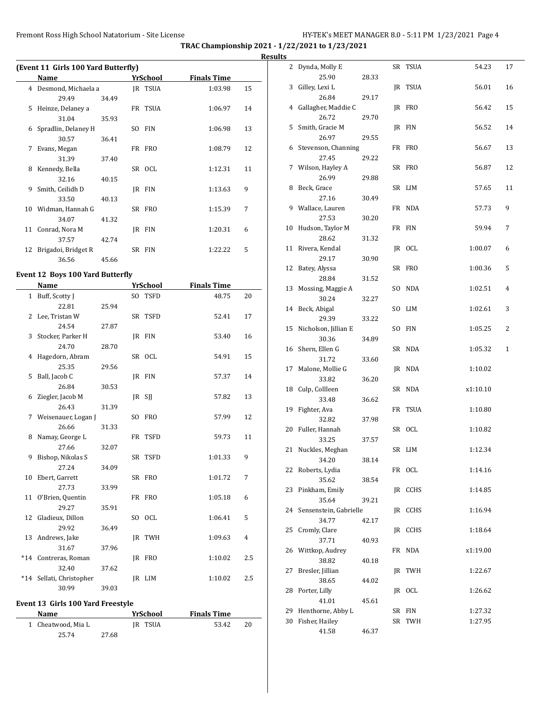**Results**

|    | (Event 11 Girls 100 Yard Butterfly) |       |     |                |                    |    |
|----|-------------------------------------|-------|-----|----------------|--------------------|----|
|    | Name                                |       |     | YrSchool       | <b>Finals Time</b> |    |
|    | 4 Desmond, Michaela a               |       |     | <b>IR TSUA</b> | 1:03.98            | 15 |
|    | 29.49                               | 34.49 |     |                |                    |    |
| 5  | Heinze, Delaney a                   |       |     | FR TSUA        | 1:06.97            | 14 |
|    | 31.04                               | 35.93 |     |                |                    |    |
| 6  | Spradlin, Delaney H                 |       | SO. | <b>FIN</b>     | 1:06.98            | 13 |
|    | 30.57                               | 36.41 |     |                |                    |    |
| 7  | Evans, Megan                        |       |     | FR FRO         | 1:08.79            | 12 |
|    | 31.39                               | 37.40 |     |                |                    |    |
| 8  | Kennedy, Bella                      |       |     | SR OCL         | 1:12.31            | 11 |
|    | 32.16                               | 40.15 |     |                |                    |    |
| 9  | Smith, Ceilidh D                    |       |     | IR FIN         | 1:13.63            | 9  |
|    | 33.50                               | 40.13 |     |                |                    |    |
| 10 | Widman, Hannah G                    |       |     | SR FRO         | 1:15.39            | 7  |
|    | 34.07                               | 41.32 |     |                |                    |    |
|    | 11 Conrad, Nora M                   |       |     | IR FIN         | 1:20.31            | 6  |
|    | 37.57                               | 42.74 |     |                |                    |    |
| 12 | Brigadoi, Bridget R                 |       |     | SR FIN         | 1:22.22            | 5  |
|    | 36.56                               | 45.66 |     |                |                    |    |

# **Event 12 Boys 100 Yard Butterfly**

|       | Name                 |       | <b>YrSchool</b> | <b>Finals Time</b> |                |
|-------|----------------------|-------|-----------------|--------------------|----------------|
|       | 1 Buff, Scotty J     |       | SO TSFD         | 48.75              | 20             |
|       | 22.81                | 25.94 |                 |                    |                |
|       | 2 Lee, Tristan W     |       | SR TSFD         | 52.41              | 17             |
|       | 24.54                | 27.87 |                 |                    |                |
|       | 3 Stocker, Parker H  |       | IR FIN          | 53.40              | 16             |
|       | 24.70                | 28.70 |                 |                    |                |
|       | 4 Hagedorn, Abram    |       | SR OCL          | 54.91              | 15             |
|       | 25.35                | 29.56 |                 |                    |                |
| 5     | Ball, Jacob C        |       | JR FIN          | 57.37              | 14             |
|       | 26.84                | 30.53 |                 |                    |                |
| 6     | Ziegler, Jacob M     |       | JR SJJ          | 57.82              | 13             |
|       | 26.43                | 31.39 |                 |                    |                |
| 7     | Weisenauer, Logan J  |       | SO FRO          | 57.99              | 12             |
|       | 26.66                | 31.33 |                 |                    |                |
| 8     | Namay, George L      |       | FR TSFD         | 59.73              | 11             |
|       | 27.66                | 32.07 |                 |                    |                |
| 9     | Bishop, Nikolas S    |       | SR TSFD         | 1:01.33            | 9              |
|       | 27.24                | 34.09 |                 |                    |                |
|       | 10 Ebert, Garrett    |       | SR FRO          | 1:01.72            | 7              |
|       | 27.73                | 33.99 |                 |                    |                |
|       | 11 O'Brien, Quentin  |       | FR FRO          | 1:05.18            | 6              |
|       | 29.27                | 35.91 |                 |                    |                |
|       | 12 Gladieux, Dillon  |       | SO OCL          | 1:06.41            | 5              |
|       | 29.92                | 36.49 |                 |                    |                |
|       | 13 Andrews, Jake     |       | IR TWH          | 1:09.63            | $\overline{4}$ |
|       | 31.67                | 37.96 |                 |                    |                |
|       | *14 Contreras, Roman |       | IR FRO          | 1:10.02            | 2.5            |
|       | 32.40                | 37.62 |                 |                    |                |
| $*14$ | Sellati, Christopher |       | IR LIM          | 1:10.02            | 2.5            |
|       | 30.99                | 39.03 |                 |                    |                |

### **Event 13 Girls 100 Yard Freestyle**

| <b>Name</b>        |       | YrSchool | <b>Finals Time</b> |    |
|--------------------|-------|----------|--------------------|----|
| 1 Cheatwood, Mia L |       | IR TSUA  | 53.42              | 20 |
| 25.74              | 27.68 |          |                    |    |

| 2  | Dynda, Molly E                  |       | SR  | TSUA       | 54.23    | 17 |
|----|---------------------------------|-------|-----|------------|----------|----|
|    | 25.90                           | 28.33 |     |            |          |    |
| 3  | Gilley, Lexi L                  |       | JR  | TSUA       | 56.01    | 16 |
|    | 26.84                           | 29.17 |     |            |          |    |
| 4  | Gallagher, Maddie C             |       |     | JR FRO     | 56.42    | 15 |
|    | 26.72                           | 29.70 |     |            |          |    |
| 5  | Smith, Gracie M                 |       |     | JR FIN     | 56.52    | 14 |
|    | 26.97                           | 29.55 |     |            |          |    |
| 6  | Stevenson, Channing             |       |     | FR FRO     | 56.67    | 13 |
|    | 27.45                           | 29.22 |     |            |          |    |
| 7  | Wilson, Hayley A                | 29.88 |     | SR FRO     | 56.87    | 12 |
| 8  | 26.99                           |       |     | SR LIM     |          |    |
|    | Beck, Grace<br>27.16            | 30.49 |     |            | 57.65    | 11 |
| 9  | Wallace, Lauren                 |       |     | FR NDA     | 57.73    | 9  |
|    | 27.53                           | 30.20 |     |            |          |    |
| 10 | Hudson, Taylor M                |       |     | FR FIN     | 59.94    | 7  |
|    | 28.62                           | 31.32 |     |            |          |    |
| 11 | Rivera, Kendal                  |       |     | JR OCL     | 1:00.07  | 6  |
|    | 29.17                           | 30.90 |     |            |          |    |
| 12 | Batey, Alyssa                   |       |     | SR FRO     | 1:00.36  | 5  |
|    | 28.84                           | 31.52 |     |            |          |    |
| 13 | Mossing, Maggie A               |       | SO. | NDA        | 1:02.51  | 4  |
|    | 30.24                           | 32.27 |     |            |          |    |
| 14 | Beck, Abigal                    |       | SO. | LIM        | 1:02.61  | 3  |
|    | 29.39                           | 33.22 |     |            |          |    |
| 15 | Nicholson, Jillian E            |       | SO. | <b>FIN</b> | 1:05.25  | 2  |
|    | 30.36                           | 34.89 |     |            |          |    |
| 16 | Shern, Ellen G                  |       |     | SR NDA     | 1:05.32  | 1  |
|    | 31.72                           | 33.60 |     |            |          |    |
| 17 | Malone, Mollie G                |       | JR  | NDA        | 1:10.02  |    |
|    | 33.82                           | 36.20 |     |            |          |    |
| 18 | Culp, Collleen                  |       |     | SR NDA     | x1:10.10 |    |
|    | 33.48                           | 36.62 |     |            |          |    |
| 19 | Fighter, Ava                    |       |     | FR TSUA    | 1:10.80  |    |
|    | 32.82                           | 37.98 |     |            |          |    |
| 20 | Fuller, Hannah                  |       |     | SR OCL     | 1:10.82  |    |
|    | 33.25                           | 37.57 |     |            |          |    |
| 21 | Nuckles, Meghan                 |       |     | SR LIM     | 1:12.34  |    |
|    | 34.20                           | 38.14 |     |            |          |    |
| 22 | Roberts, Lydia                  |       |     | FR OCL     | 1:14.16  |    |
|    | 35.62                           | 38.54 |     |            |          |    |
| 23 | Pinkham, Emily<br>35.64         |       |     | JR CCHS    | 1:14.85  |    |
|    |                                 | 39.21 |     |            |          |    |
| 24 | Sensenstein, Gabrielle<br>34.77 | 42.17 |     | JR CCHS    | 1:16.94  |    |
| 25 | Cromly, Clare                   |       |     | IR CCHS    | 1:18.64  |    |
|    | 37.71                           | 40.93 |     |            |          |    |
| 26 | Wittkop, Audrey                 |       | FR  | NDA        | x1:19.00 |    |
|    | 38.82                           | 40.18 |     |            |          |    |
| 27 | Bresler, Jillian                |       | JR  | TWH        | 1:22.67  |    |
|    | 38.65                           | 44.02 |     |            |          |    |
| 28 | Porter, Lilly                   |       |     | JR OCL     | 1:26.62  |    |
|    | 41.01                           | 45.61 |     |            |          |    |
| 29 | Henthorne, Abby L               |       |     | SR FIN     | 1:27.32  |    |
| 30 | Fisher, Hailey                  |       | SR  | TWH        | 1:27.95  |    |
|    | 41.58                           | 46.37 |     |            |          |    |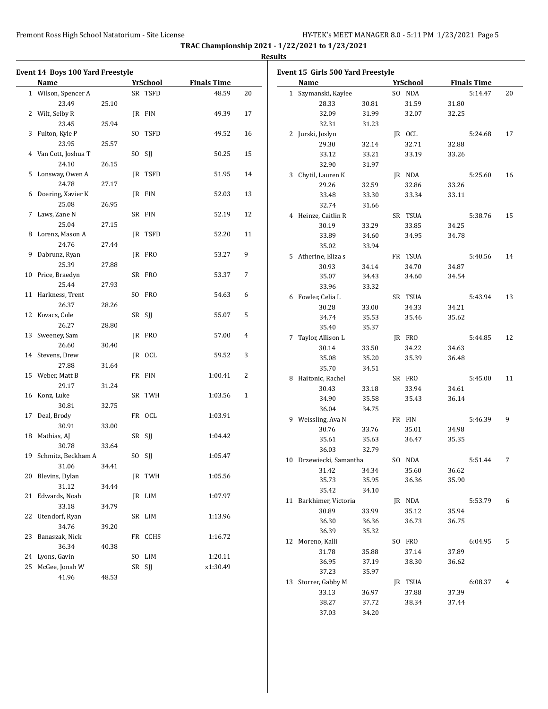**TRAC Championship 2021 - 1/22/2021 to 1/23/2021 Results**

| Event 14 Boys 100 Yard Freestyle |       |                 |                    |              | Event 15 Girls 500 Yard Freestyle |       |                 |       |                    |    |
|----------------------------------|-------|-----------------|--------------------|--------------|-----------------------------------|-------|-----------------|-------|--------------------|----|
| Name                             |       | <b>YrSchool</b> | <b>Finals Time</b> |              | Name                              |       | <b>YrSchool</b> |       | <b>Finals Time</b> |    |
| 1 Wilson, Spencer A              |       | SR TSFD         | 48.59              | 20           | 1 Szymanski, Kaylee               |       | SO NDA          |       | 5:14.47            | 20 |
| 23.49                            | 25.10 |                 |                    |              | 28.33                             | 30.81 | 31.59           | 31.80 |                    |    |
| 2 Wilt, Selby R                  |       | JR FIN          | 49.39              | 17           | 32.09                             | 31.99 | 32.07           | 32.25 |                    |    |
| 23.45                            | 25.94 |                 |                    |              | 32.31                             | 31.23 |                 |       |                    |    |
| 3 Fulton, Kyle P                 |       | SO TSFD         | 49.52              | 16           | 2 Jurski, Joslyn                  |       | JR OCL          |       | 5:24.68            | 17 |
| 23.95                            | 25.57 |                 |                    |              | 29.30                             | 32.14 | 32.71           | 32.88 |                    |    |
| 4 Van Cott, Joshua T             |       | SO SII          | 50.25              | 15           | 33.12                             | 33.21 | 33.19           | 33.26 |                    |    |
| 24.10                            | 26.15 |                 |                    |              | 32.90                             | 31.97 |                 |       |                    |    |
| 5 Lonsway, Owen A                |       | JR TSFD         | 51.95              | 14           | 3 Chytil, Lauren K                |       | JR NDA          |       | 5:25.60            | 16 |
| 24.78                            | 27.17 |                 |                    |              | 29.26                             | 32.59 | 32.86           | 33.26 |                    |    |
| 6 Doering, Xavier K              |       | JR FIN          | 52.03              | 13           | 33.48                             | 33.30 | 33.34           | 33.11 |                    |    |
| 25.08                            | 26.95 |                 |                    |              | 32.74                             | 31.66 |                 |       |                    |    |
| 7 Laws, Zane N                   |       | SR FIN          | 52.19              | 12           | 4 Heinze, Caitlin R               |       | SR TSUA         |       | 5:38.76            | 15 |
| 25.04                            | 27.15 |                 |                    |              | 30.19                             | 33.29 | 33.85           | 34.25 |                    |    |
| 8 Lorenz, Mason A                |       | JR TSFD         | 52.20              | 11           | 33.89                             | 34.60 | 34.95           | 34.78 |                    |    |
| 24.76                            | 27.44 |                 |                    |              | 35.02                             | 33.94 |                 |       |                    |    |
| 9 Dabrunz, Ryan                  |       | JR FRO          | 53.27              | 9            | 5 Atherine, Eliza s               |       | FR TSUA         |       | 5:40.56            | 14 |
| 25.39                            | 27.88 |                 |                    |              | 30.93                             | 34.14 | 34.70           | 34.87 |                    |    |
| 10 Price, Braedyn                |       | SR FRO          | 53.37              | 7            | 35.07                             | 34.43 | 34.60           | 34.54 |                    |    |
| 25.44                            | 27.93 |                 |                    |              | 33.96                             | 33.32 |                 |       |                    |    |
| 11 Harkness, Trent               |       | SO FRO          | 54.63              | 6            | 6 Fowler, Celia L                 |       | SR TSUA         |       | 5:43.94            | 13 |
| 26.37                            | 28.26 |                 |                    |              | 30.28                             | 33.00 | 34.33           | 34.21 |                    |    |
| 12 Kovacs, Cole                  |       | SR SJJ          | 55.07              | 5            | 34.74                             | 35.53 | 35.46           | 35.62 |                    |    |
| 26.27                            | 28.80 |                 |                    |              | 35.40                             | 35.37 |                 |       |                    |    |
| 13 Sweeney, Sam                  |       | JR FRO          | 57.00              | 4            | 7 Taylor, Allison L               |       | JR FRO          |       | 5:44.85            | 12 |
| 26.60                            | 30.40 |                 |                    |              | 30.14                             | 33.50 | 34.22           | 34.63 |                    |    |
| 14 Stevens, Drew                 |       | JR OCL          | 59.52              | 3            | 35.08                             | 35.20 | 35.39           | 36.48 |                    |    |
| 27.88                            | 31.64 |                 |                    |              | 35.70                             | 34.51 |                 |       |                    |    |
| 15 Weber, Matt B                 |       | FR FIN          | 1:00.41            | 2            | 8 Haitonic, Rachel                |       | SR FRO          |       | 5:45.00            | 11 |
| 29.17                            | 31.24 |                 |                    |              | 30.43                             | 33.18 | 33.94           | 34.61 |                    |    |
| 16 Konz, Luke                    |       | SR TWH          | 1:03.56            | $\mathbf{1}$ |                                   |       | 35.43           |       |                    |    |
| 30.81                            | 32.75 |                 |                    |              | 34.90                             | 35.58 |                 | 36.14 |                    |    |
| 17 Deal, Brody                   |       | FR OCL          | 1:03.91            |              | 36.04                             | 34.75 |                 |       |                    |    |
| 30.91                            | 33.00 |                 |                    |              | 9 Weissling, Ava N                |       | FR FIN          |       | 5:46.39            | 9  |
| 18 Mathias, AJ                   |       | SR SJJ          | 1:04.42            |              | 30.76                             | 33.76 | 35.01           | 34.98 |                    |    |
| 30.78                            | 33.64 |                 |                    |              | 35.61                             | 35.63 | 36.47           | 35.35 |                    |    |
| 19 Schmitz, Beckham A            |       | SO SJJ          | 1:05.47            |              | 36.03                             | 32.79 |                 |       |                    |    |
| 31.06                            | 34.41 |                 |                    |              | 10 Drzewiecki, Samantha           |       | SO NDA          |       | 5:51.44            | 7  |
| 20 Blevins, Dylan                |       | JR TWH          | 1:05.56            |              | 31.42                             | 34.34 | 35.60           | 36.62 |                    |    |
| 31.12                            | 34.44 |                 |                    |              | 35.73                             | 35.95 | 36.36           | 35.90 |                    |    |
| 21 Edwards, Noah                 |       | JR LIM          | 1:07.97            |              | 35.42                             | 34.10 |                 |       |                    |    |
| 33.18                            | 34.79 |                 |                    |              | 11 Barkhimer, Victoria            |       | JR NDA          |       | 5:53.79            | 6  |
| 22 Utendorf, Ryan                |       | SR LIM          | 1:13.96            |              | 30.89                             | 33.99 | 35.12           | 35.94 |                    |    |
| 34.76                            | 39.20 |                 |                    |              | 36.30                             | 36.36 | 36.73           | 36.75 |                    |    |
| 23 Banaszak, Nick                |       | FR CCHS         | 1:16.72            |              | 36.39                             | 35.32 |                 |       |                    |    |
| 36.34                            | 40.38 |                 |                    |              | 12 Moreno, Kalli                  |       | SO FRO          |       | 6:04.95            | 5  |
| 24 Lyons, Gavin                  |       | SO LIM          | 1:20.11            |              | 31.78                             | 35.88 | 37.14           | 37.89 |                    |    |
| 25 McGee, Jonah W                |       | SR SJJ          | x1:30.49           |              | 36.95                             | 37.19 | 38.30           | 36.62 |                    |    |
| 41.96                            | 48.53 |                 |                    |              | 37.23                             | 35.97 |                 |       |                    |    |
|                                  |       |                 |                    |              | 13 Storrer, Gabby M               |       | JR TSUA         |       | 6:08.37            | 4  |
|                                  |       |                 |                    |              | 33.13                             | 36.97 | 37.88           | 37.39 |                    |    |
|                                  |       |                 |                    |              | 38.27                             | 37.72 | 38.34           | 37.44 |                    |    |

37.03 34.20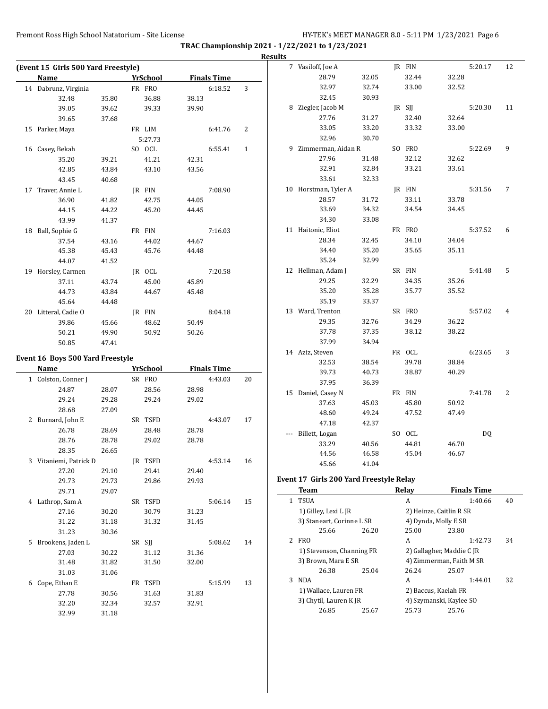|                                     |       |          |       |                    |    | <b>Results</b> |                                         |       |              |                           |                    |    |
|-------------------------------------|-------|----------|-------|--------------------|----|----------------|-----------------------------------------|-------|--------------|---------------------------|--------------------|----|
| (Event 15 Girls 500 Yard Freestyle) |       |          |       |                    |    |                | 7 Vasiloff, Joe A                       |       | JR FIN       |                           | 5:20.17            | 12 |
| Name                                |       | YrSchool |       | <b>Finals Time</b> |    |                | 28.79                                   | 32.05 | 32.44        | 32.28                     |                    |    |
| 14 Dabrunz, Virginia                |       | FR FRO   |       | 6:18.52            | 3  |                | 32.97                                   | 32.74 | 33.00        | 32.52                     |                    |    |
| 32.48                               | 35.80 | 36.88    | 38.13 |                    |    |                | 32.45                                   | 30.93 |              |                           |                    |    |
| 39.05                               | 39.62 | 39.33    | 39.90 |                    |    |                | 8 Ziegler, Jacob M                      |       | JR SJJ       |                           | 5:20.30            | 11 |
| 39.65                               | 37.68 |          |       |                    |    |                | 27.76                                   | 31.27 | 32.40        | 32.64                     |                    |    |
| 15 Parker, Maya                     |       | FR LIM   |       | 6:41.76            | 2  |                | 33.05                                   | 33.20 | 33.32        | 33.00                     |                    |    |
|                                     |       | 5:27.73  |       |                    |    |                | 32.96                                   | 30.70 |              |                           |                    |    |
| 16 Casey, Bekah                     |       | SO OCL   |       | 6:55.41            | 1  |                | 9 Zimmerman, Aidan R                    |       | SO FRO       |                           | 5:22.69            | 9  |
| 35.20                               | 39.21 | 41.21    | 42.31 |                    |    |                | 27.96                                   | 31.48 | 32.12        | 32.62                     |                    |    |
| 42.85                               | 43.84 | 43.10    | 43.56 |                    |    |                | 32.91                                   | 32.84 | 33.21        | 33.61                     |                    |    |
| 43.45                               | 40.68 |          |       |                    |    |                | 33.61                                   | 32.33 |              |                           |                    |    |
| 17 Traver, Annie L                  |       | JR FIN   |       | 7:08.90            |    |                | 10 Horstman, Tyler A                    |       | JR FIN       |                           | 5:31.56            | 7  |
| 36.90                               | 41.82 | 42.75    | 44.05 |                    |    |                | 28.57                                   | 31.72 | 33.11        | 33.78                     |                    |    |
| 44.15                               | 44.22 | 45.20    | 44.45 |                    |    |                | 33.69                                   | 34.32 | 34.54        | 34.45                     |                    |    |
| 43.99                               | 41.37 |          |       |                    |    |                | 34.30                                   | 33.08 |              |                           |                    |    |
| 18 Ball, Sophie G                   |       | FR FIN   |       | 7:16.03            |    |                | 11 Haitonic, Eliot                      |       | FR FRO       |                           | 5:37.52            | 6  |
| 37.54                               | 43.16 | 44.02    | 44.67 |                    |    |                | 28.34                                   | 32.45 | 34.10        | 34.04                     |                    |    |
| 45.38                               | 45.43 | 45.76    | 44.48 |                    |    |                | 34.40                                   | 35.20 | 35.65        | 35.11                     |                    |    |
| 44.07                               | 41.52 |          |       |                    |    |                | 35.24                                   | 32.99 |              |                           |                    |    |
| 19 Horsley, Carmen                  |       | JR OCL   |       | 7:20.58            |    |                | 12 Hellman, Adam J                      |       | SR FIN       |                           | 5:41.48            | 5  |
| 37.11                               | 43.74 | 45.00    | 45.89 |                    |    |                | 29.25                                   | 32.29 | 34.35        | 35.26                     |                    |    |
| 44.73                               | 43.84 | 44.67    | 45.48 |                    |    |                | 35.20                                   | 35.28 | 35.77        | 35.52                     |                    |    |
| 45.64                               | 44.48 |          |       |                    |    |                | 35.19                                   | 33.37 |              |                           |                    |    |
| 20 Litteral, Cadie O                |       | JR FIN   |       | 8:04.18            |    |                | 13 Ward, Trenton                        |       | SR FRO       |                           | 5:57.02            | 4  |
| 39.86                               | 45.66 | 48.62    | 50.49 |                    |    |                | 29.35                                   | 32.76 | 34.29        | 36.22                     |                    |    |
| 50.21                               | 49.90 | 50.92    | 50.26 |                    |    |                | 37.78                                   | 37.35 | 38.12        | 38.22                     |                    |    |
| 50.85                               | 47.41 |          |       |                    |    |                | 37.99                                   | 34.94 |              |                           |                    |    |
|                                     |       |          |       |                    |    |                | 14 Aziz, Steven                         |       | FR OCL       |                           | 6:23.65            | 3  |
| Event 16 Boys 500 Yard Freestyle    |       |          |       |                    |    |                | 32.53                                   | 38.54 | 39.78        | 38.84                     |                    |    |
| Name                                |       | YrSchool |       | <b>Finals Time</b> |    |                | 39.73                                   | 40.73 | 38.87        | 40.29                     |                    |    |
| 1 Colston, Conner J                 |       | SR FRO   |       | 4:43.03            | 20 |                | 37.95                                   | 36.39 |              |                           |                    |    |
| 24.87                               | 28.07 | 28.56    | 28.98 |                    |    |                | 15 Daniel, Casey N                      |       | FR FIN       |                           | 7:41.78            | 2  |
| 29.24                               | 29.28 | 29.24    | 29.02 |                    |    |                | 37.63                                   | 45.03 | 45.80        | 50.92                     |                    |    |
| 28.68                               | 27.09 |          |       |                    |    |                | 48.60                                   | 49.24 | 47.52        | 47.49                     |                    |    |
| 2 Burnard, John E                   |       | SR TSFD  |       | 4:43.07            | 17 |                | 47.18                                   | 42.37 |              |                           |                    |    |
| 26.78                               | 28.69 | 28.48    | 28.78 |                    |    |                | --- Billett, Logan                      |       | SO OCL       |                           | DQ                 |    |
| 28.76                               | 28.78 | 29.02    | 28.78 |                    |    |                | 33.29                                   | 40.56 | 44.81        | 46.70                     |                    |    |
| 28.35                               | 26.65 |          |       |                    |    |                | 44.56                                   | 46.58 | 45.04        | 46.67                     |                    |    |
| 3 Vitaniemi, Patrick D              |       | JR TSFD  |       | 4:53.14            | 16 |                | 45.66                                   | 41.04 |              |                           |                    |    |
| 27.20                               | 29.10 | 29.41    | 29.40 |                    |    |                | Event 17 Girls 200 Yard Freestyle Relay |       |              |                           |                    |    |
| 29.73                               | 29.73 | 29.86    | 29.93 |                    |    |                |                                         |       | Relay        |                           | <b>Finals Time</b> |    |
| 29.71                               | 29.07 |          |       |                    |    |                | <b>Team</b><br>1 TSUA                   |       | $\mathbf{A}$ |                           | 1:40.66            |    |
| 4 Lathrop, Sam A                    |       | SR TSFD  |       | 5:06.14            | 15 |                | 1) Gilley, Lexi L JR                    |       |              | 2) Heinze, Caitlin R SR   |                    | 40 |
| 27.16                               | 30.20 | 30.79    | 31.23 |                    |    |                |                                         |       |              | 4) Dynda, Molly E SR      |                    |    |
| 31.22                               | 31.18 | 31.32    | 31.45 |                    |    |                | 3) Staneart, Corinne L SR<br>25.66      | 26.20 | 25.00        | 23.80                     |                    |    |
| 31.23                               | 30.36 |          |       |                    |    |                | 2 FRO                                   |       | A            |                           | 1:42.73            | 34 |
| 5 Brookens, Jaden L                 |       | SR SJJ   |       | 5:08.62            | 14 |                | 1) Stevenson, Channing FR               |       |              | 2) Gallagher, Maddie C JR |                    |    |
| 27.03                               | 30.22 | 31.12    | 31.36 |                    |    |                | 3) Brown, Mara E SR                     |       |              | 4) Zimmerman, Faith M SR  |                    |    |
| 31.48                               | 31.82 | 31.50    | 32.00 |                    |    |                | 26.38                                   | 25.04 | 26.24        | 25.07                     |                    |    |
| 31.03                               | 31.06 |          |       |                    |    |                | 3 NDA                                   |       | A            |                           | 1:44.01            | 32 |
| 6 Cope, Ethan E                     |       | FR TSFD  |       | 5:15.99            | 13 |                | 1) Wallace, Lauren FR                   |       |              | 2) Baccus, Kaelah FR      |                    |    |
| 27.78                               | 30.56 | 31.63    | 31.83 |                    |    |                | 3) Chytil, Lauren K JR                  |       |              | 4) Szymanski, Kaylee SO   |                    |    |
| 32.20                               | 32.34 | 32.57    | 32.91 |                    |    |                | 26.85                                   | 25.67 | 25.73        | 25.76                     |                    |    |
| 32.99                               | 31.18 |          |       |                    |    |                |                                         |       |              |                           |                    |    |
|                                     |       |          |       |                    |    |                |                                         |       |              |                           |                    |    |
|                                     |       |          |       |                    |    |                |                                         |       |              |                           |                    |    |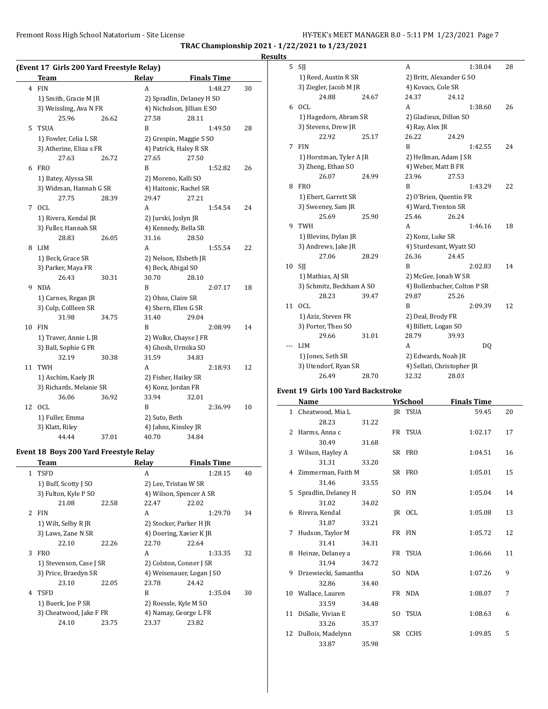**TRAC Championship 2021 - 1/22/2021 to 1/23/2021**

### **Results**

|    | (Event 17 Girls 200 Yard Freestyle Relay) |       |                        |                            |         |    |
|----|-------------------------------------------|-------|------------------------|----------------------------|---------|----|
|    | <b>Team</b>                               |       | Relay                  | <b>Finals Time</b>         |         |    |
| 4  | <b>FIN</b>                                |       | A                      |                            | 1:48.27 | 30 |
|    | 1) Smith, Gracie M JR                     |       |                        | 2) Spradlin, Delaney H SO  |         |    |
|    | 3) Weissling, Ava N FR                    |       |                        | 4) Nicholson, Jillian E SO |         |    |
|    | 25.96                                     | 26.62 | 27.58                  | 28.11                      |         |    |
| 5  | <b>TSUA</b>                               |       | B                      |                            | 1:49.50 | 28 |
|    | 1) Fowler, Celia L SR                     |       |                        | 2) Grespin, Maggie S SO    |         |    |
|    | 3) Atherine, Eliza s FR                   |       |                        | 4) Patrick, Haley R SR     |         |    |
|    | 27.63                                     | 26.72 | 27.65                  | 27.50                      |         |    |
| 6  | <b>FRO</b>                                |       | B                      |                            | 1:52.82 | 26 |
|    | 1) Batey, Alyssa SR                       |       |                        | 2) Moreno, Kalli SO        |         |    |
|    | 3) Widman, Hannah G SR                    |       | 4) Haitonic, Rachel SR |                            |         |    |
|    | 27.75                                     | 28.39 | 29.47                  | 27.21                      |         |    |
| 7  | <b>OCL</b>                                |       | А                      |                            | 1:54.54 | 24 |
|    | 1) Rivera, Kendal JR                      |       |                        | 2) Jurski, Joslyn JR       |         |    |
|    | 3) Fuller, Hannah SR                      |       |                        | 4) Kennedy, Bella SR       |         |    |
|    | 28.83                                     | 26.05 | 31.16                  | 28.50                      |         |    |
| 8  | <b>LIM</b>                                |       | A                      |                            | 1:55.54 | 22 |
|    | 1) Beck, Grace SR                         |       |                        | 2) Nelson, Elsbeth JR      |         |    |
|    | 3) Parker, Maya FR                        |       |                        | 4) Beck, Abigal SO         |         |    |
|    | 26.43                                     | 30.31 | 30.70                  | 28.10                      |         |    |
| 9  | <b>NDA</b>                                |       | B                      |                            | 2:07.17 | 18 |
|    | 1) Carnes, Regan JR                       |       | 2) Ohns, Claire SR     |                            |         |    |
|    | 3) Culp, Collleen SR                      |       | 4) Shern, Ellen G SR   |                            |         |    |
|    | 31.98                                     | 34.75 | 31.40                  | 29.04                      |         |    |
| 10 | <b>FIN</b>                                |       | B                      |                            | 2:08.99 | 14 |
|    | 1) Traver, Annie L JR                     |       |                        | 2) Wolke, Chayse J FR      |         |    |
|    | 3) Ball, Sophie G FR                      |       |                        | 4) Ghosh, Urmika SO        |         |    |
|    | 32.19                                     | 30.38 | 31.59                  | 34.83                      |         |    |
| 11 | <b>TWH</b>                                |       | A                      |                            | 2:18.93 | 12 |
|    | 1) Aschim, Kaely JR                       |       |                        | 2) Fisher, Hailey SR       |         |    |
|    | 3) Richards, Melanie SR                   |       |                        | 4) Konz, Jordan FR         |         |    |
|    | 36.06                                     | 36.92 | 33.94                  | 32.01                      |         |    |
| 12 | OCL                                       |       | B                      |                            | 2:36.99 | 10 |
|    | 1) Fuller, Emma                           |       | 2) Suto, Beth          |                            |         |    |
|    | 3) Klatt, Riley                           |       |                        | 4) Jahns, Kinsley JR       |         |    |
|    | 44.44                                     | 37.01 | 40.70                  | 34.84                      |         |    |

### **Event 18 Boys 200 Yard Freestyle Relay**

|   | Team                    |       | Relay                     | <b>Finals Time</b> |    |
|---|-------------------------|-------|---------------------------|--------------------|----|
|   | 1 TSFD                  |       | A                         | 1:28.15            | 40 |
|   | 1) Buff, Scotty J SO    |       | 2) Lee, Tristan W SR      |                    |    |
|   | 3) Fulton, Kyle P SO    |       | 4) Wilson, Spencer A SR   |                    |    |
|   | 21.08                   | 22.58 | 22.47                     | 22.02              |    |
|   | 2 FIN                   |       | A                         | 1:29.70            | 34 |
|   | 1) Wilt, Selby R JR     |       | 2) Stocker, Parker H JR   |                    |    |
|   | 3) Laws, Zane N SR      |       | 4) Doering, Xavier K JR   |                    |    |
|   | 22.10                   | 22.26 | 22.70                     | 22.64              |    |
| 3 | <b>FRO</b>              |       | A                         | 1:33.35            | 32 |
|   | 1) Stevenson, Case J SR |       | 2) Colston, Conner J SR   |                    |    |
|   | 3) Price, Braedyn SR    |       | 4) Weisenauer, Logan J SO |                    |    |
|   | 23.10                   | 22.05 | 23.78                     | 24.42              |    |
| 4 | TSFD                    |       | R                         | 1:35.04            | 30 |
|   | 1) Buerk, Joe P SR      |       | 2) Roessle, Kyle M SO     |                    |    |
|   | 3) Cheatwood, Jake F FR |       | 4) Namay, George L FR     |                    |    |
|   | 24.10                   | 23.75 | 23.37                     | 23.82              |    |
|   |                         |       |                           |                    |    |

| 5   | SJJ                      |       | A                            |                          | 1:38.04 | 28 |  |
|-----|--------------------------|-------|------------------------------|--------------------------|---------|----|--|
|     | 1) Reed, Austin R SR     |       |                              | 2) Britt, Alexander G SO |         |    |  |
|     | 3) Ziegler, Jacob M JR   |       | 4) Kovacs, Cole SR           |                          |         |    |  |
|     | 24.88                    | 24.67 | 24.37                        | 24.12                    |         |    |  |
| 6   | <b>OCL</b>               |       | A                            |                          | 1:38.60 | 26 |  |
|     | 1) Hagedorn, Abram SR    |       | 2) Gladieux, Dillon SO       |                          |         |    |  |
|     | 3) Stevens, Drew JR      |       | 4) Ray, Alex JR              |                          |         |    |  |
|     | 22.92                    | 25.17 | 26.22                        | 24.29                    |         |    |  |
| 7   | <b>FIN</b>               |       | B                            |                          | 1:42.55 | 24 |  |
|     | 1) Horstman, Tyler A JR  |       | 2) Hellman, Adam J SR        |                          |         |    |  |
|     | 3) Zheng, Ethan SO       |       | 4) Weber, Matt B FR          |                          |         |    |  |
|     | 26.07                    | 24.99 | 23.96                        | 27.53                    |         |    |  |
| 8   | <b>FRO</b>               |       | B                            |                          | 1:43.29 | 22 |  |
|     | 1) Ebert, Garrett SR     |       | 2) O'Brien, Quentin FR       |                          |         |    |  |
|     | 3) Sweeney, Sam JR       |       | 4) Ward, Trenton SR          |                          |         |    |  |
|     | 25.69                    | 25.90 | 25.46                        | 26.24                    |         |    |  |
| 9   | <b>TWH</b>               |       | A                            |                          | 1:46.16 | 18 |  |
|     | 1) Blevins, Dylan JR     |       | 2) Konz, Luke SR             |                          |         |    |  |
|     | 3) Andrews, Jake JR      |       | 4) Sturdevant, Wyatt SO      |                          |         |    |  |
|     | 27.06                    | 28.29 | 26.36                        | 24.45                    |         |    |  |
| 10  | SII                      |       | B                            |                          | 2:02.83 | 14 |  |
|     | 1) Mathias, AJ SR        |       | 2) McGee, Jonah W SR         |                          |         |    |  |
|     | 3) Schmitz, Beckham A SO |       | 4) Bollenbacher, Colton P SR |                          |         |    |  |
|     | 28.23                    | 39.47 | 29.87                        | 25.26                    |         |    |  |
| 11  | OCL                      |       | B                            |                          | 2:09.39 | 12 |  |
|     | 1) Aziz, Steven FR       |       | 2) Deal, Brody FR            |                          |         |    |  |
|     | 3) Porter, Theo SO       |       | 4) Billett, Logan SO         |                          |         |    |  |
|     | 29.66                    | 31.01 | 28.79                        | 39.93                    |         |    |  |
| --- | LIM                      |       | A                            |                          | DQ      |    |  |
|     | 1) Jones, Seth SR        |       | 2) Edwards, Noah JR          |                          |         |    |  |
|     | 3) Utendorf, Ryan SR     |       | 4) Sellati, Christopher JR   |                          |         |    |  |
|     | 26.49                    | 28.70 | 32.32                        | 28.03                    |         |    |  |

### **Event 19 Girls 100 Yard Backstroke**

|   | Name                   |       | YrSchool       | <b>Finals Time</b> |    |
|---|------------------------|-------|----------------|--------------------|----|
|   | 1 Cheatwood, Mia L     |       | <b>IR TSUA</b> | 59.45              | 20 |
|   | 28.23                  | 31.22 |                |                    |    |
|   | 2 Harms, Anna c        |       | FR TSUA        | 1:02.17            | 17 |
|   | 30.49                  | 31.68 |                |                    |    |
|   | 3 Wilson, Hayley A     |       | SR FRO         | 1:04.51            | 16 |
|   | 31.31                  | 33.20 |                |                    |    |
|   | 4 Zimmerman, Faith M   |       | SR FRO         | 1:05.01            | 15 |
|   | 31.46                  | 33.55 |                |                    |    |
|   | 5 Spradlin, Delaney H  |       | SO FIN         | 1:05.04            | 14 |
|   | 31.02                  | 34.02 |                |                    |    |
|   | 6 Rivera, Kendal       |       | IR OCL         | 1:05.08            | 13 |
|   | 31.87                  | 33.21 |                |                    |    |
| 7 | Hudson, Taylor M       |       | FR FIN         | 1:05.72            | 12 |
|   | 31.41                  | 34.31 |                |                    |    |
|   | 8 Heinze, Delaney a    |       | FR TSUA        | 1:06.66            | 11 |
|   | 31.94                  | 34.72 |                |                    |    |
|   | 9 Drzewiecki, Samantha |       | SO NDA         | 1:07.26            | 9  |
|   | 32.86                  | 34.40 |                |                    |    |
|   | 10 Wallace, Lauren     |       | FR NDA         | 1:08.07            | 7  |
|   | 33.59                  | 34.48 |                |                    |    |
|   | 11 DiSalle, Vivian E   |       | SO TSUA        | 1:08.63            | 6  |
|   | 33.26                  | 35.37 |                |                    |    |
|   | 12 DuBois, Madelynn    |       | SR CCHS        | 1:09.85            | 5  |
|   | 33.87                  | 35.98 |                |                    |    |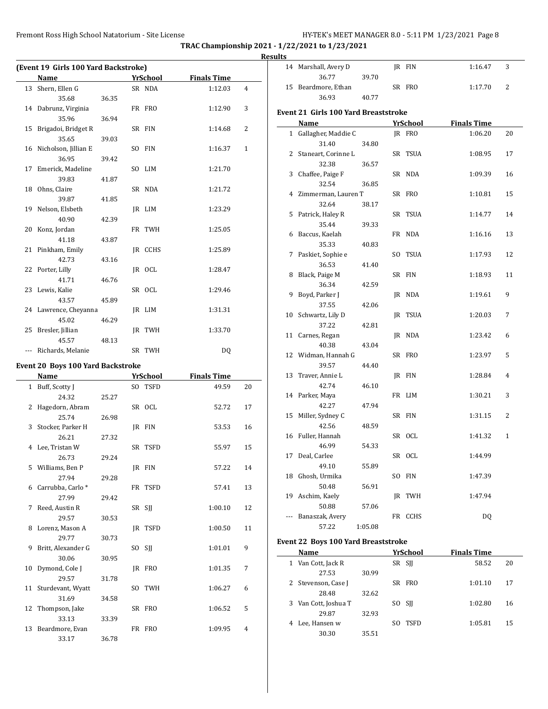14 Marshall, Avery D JR FIN 1:16.47 3

**TRAC Championship 2021 - 1/22/2021 to 1/23/2021**

|  |                                      |       |                 |                    |                | <b>Results</b> |
|--|--------------------------------------|-------|-----------------|--------------------|----------------|----------------|
|  | (Event 19 Girls 100 Yard Backstroke) |       |                 |                    |                | $\mathbf{1}$   |
|  | Name                                 |       | <u>YrSchool</u> | <b>Finals Time</b> |                |                |
|  | 13 Shern, Ellen G                    |       | SR NDA          | 1:12.03            | 4              | $\mathbf{1}$   |
|  | 35.68                                | 36.35 |                 |                    |                |                |
|  | 14 Dabrunz, Virginia                 |       | FR FRO          | 1:12.90            | 3              | Eve            |
|  | 35.96                                | 36.94 |                 |                    |                |                |
|  | 15 Brigadoi, Bridget R               |       | SR FIN          | 1:14.68            | $\overline{2}$ |                |
|  | 35.65                                | 39.03 |                 |                    |                |                |
|  | 16 Nicholson, Jillian E              |       | SO FIN          | 1:16.37            | $\mathbf{1}$   |                |
|  | 36.95                                | 39.42 |                 |                    |                |                |
|  | 17 Emerick, Madeline                 |       | SO LIM          | 1:21.70            |                |                |
|  | 39.83                                | 41.87 |                 |                    |                |                |
|  | 18 Ohns, Claire                      |       | SR NDA          | 1:21.72            |                |                |
|  | 39.87                                | 41.85 |                 |                    |                |                |
|  | 19 Nelson, Elsbeth                   |       | IR LIM          | 1:23.29            |                |                |
|  | 40.90                                | 42.39 |                 |                    |                |                |
|  | 20 Konz, Jordan                      |       | FR TWH          | 1:25.05            |                |                |
|  | 41.18                                | 43.87 |                 |                    |                |                |
|  | 21 Pinkham, Emily                    |       | JR CCHS         | 1:25.89            |                |                |
|  | 42.73                                | 43.16 |                 |                    |                |                |
|  | 22 Porter, Lilly                     |       | IR OCL          | 1:28.47            |                |                |
|  | 41.71                                | 46.76 |                 |                    |                |                |
|  | 23 Lewis, Kalie                      |       | SR OCL          | 1:29.46            |                |                |
|  | 43.57                                | 45.89 |                 |                    |                |                |
|  | 24 Lawrence, Cheyanna                |       | IR LIM          | 1:31.31            |                | 1              |

# **Event 20 Boys 100 Yard Backstroke**

45.02 46.29

45.57 48.13

25 Bresler, Jillian JR TWH 1:33.70

--- Richards, Melanie SR TWH DQ

|    | Name                 |       | <b>YrSchool</b> | <b>Finals Time</b> |                |
|----|----------------------|-------|-----------------|--------------------|----------------|
|    | 1 Buff, Scotty J     |       | SO TSFD         | 49.59              | 20             |
|    | 24.32                | 25.27 |                 |                    |                |
| 2  | Hagedorn, Abram      |       | SR OCL          | 52.72              | 17             |
|    | 25.74                | 26.98 |                 |                    |                |
|    | 3 Stocker, Parker H  |       | IR FIN          | 53.53              | 16             |
|    | 26.21                | 27.32 |                 |                    |                |
|    | 4 Lee, Tristan W     |       | SR TSFD         | 55.97              | 15             |
|    | 26.73                | 29.24 |                 |                    |                |
|    | 5 Williams, Ben P    |       | IR FIN          | 57.22              | 14             |
|    | 27.94                | 29.28 |                 |                    |                |
|    | 6 Carrubba, Carlo *  |       | FR TSFD         | 57.41              | 13             |
|    | 27.99                | 29.42 |                 |                    |                |
| 7  | Reed, Austin R       |       | SR SJJ          | 1:00.10            | 12             |
|    | 29.57                | 30.53 |                 |                    |                |
|    | 8 Lorenz, Mason A    |       | JR TSFD         | 1:00.50            | 11             |
|    | 29.77                | 30.73 |                 |                    |                |
| 9  | Britt, Alexander G   |       | SO SII          | 1:01.01            | 9              |
|    | 30.06                | 30.95 |                 |                    |                |
| 10 | Dymond, Cole J       |       | IR FRO          | 1:01.35            | 7              |
|    | 29.57                | 31.78 |                 |                    |                |
|    | 11 Sturdevant, Wyatt |       | SO TWH          | 1:06.27            | 6              |
|    | 31.69                | 34.58 |                 |                    |                |
|    | 12 Thompson, Jake    |       | SR FRO          | 1:06.52            | 5              |
|    | 33.13                | 33.39 |                 |                    |                |
|    | 13 Beardmore, Evan   |       | FR FRO          | 1:09.95            | $\overline{4}$ |
|    | 33.17                | 36.78 |                 |                    |                |

|                | 36.77                                       | 39.70   |    |                    |                               |    |
|----------------|---------------------------------------------|---------|----|--------------------|-------------------------------|----|
| 15             | Beardmore, Ethan                            |         |    | SR FRO             | 1:17.70                       | 2  |
|                | 36.93                                       | 40.77   |    |                    |                               |    |
|                | <b>Event 21 Girls 100 Yard Breaststroke</b> |         |    |                    |                               |    |
|                |                                             |         |    |                    |                               |    |
| $\mathbf{1}$   | Name                                        |         |    | YrSchool<br>IR FRO | <b>Finals Time</b><br>1:06.20 | 20 |
|                | Gallagher, Maddie C                         |         |    |                    |                               |    |
|                | 31.40                                       | 34.80   |    |                    |                               |    |
| 2              | Staneart, Corinne L                         |         |    | SR TSUA            | 1:08.95                       | 17 |
|                | 32.38                                       | 36.57   |    |                    |                               |    |
| 3              | Chaffee, Paige F                            |         |    | SR NDA             | 1:09.39                       | 16 |
|                | 32.54                                       | 36.85   |    |                    |                               |    |
|                | 4 Zimmerman, Lauren T                       |         |    | SR FRO             | 1:10.81                       | 15 |
|                | 32.64                                       | 38.17   |    |                    |                               |    |
| 5              | Patrick, Haley R                            |         |    | SR TSUA            | 1:14.77                       | 14 |
|                | 35.44                                       | 39.33   |    | FR NDA             | 1:16.16                       |    |
| 6              | Baccus, Kaelah                              |         |    |                    |                               | 13 |
| 7              | 35.33                                       | 40.83   |    |                    |                               | 12 |
|                | Paskiet, Sophie e                           |         |    | SO TSUA            | 1:17.93                       |    |
| 8              | 36.53                                       | 41.40   |    | SR FIN             | 1:18.93                       | 11 |
|                | Black, Paige M                              |         |    |                    |                               |    |
| 9              | 36.34<br>Boyd, Parker J                     | 42.59   |    | JR NDA             | 1:19.61                       | 9  |
|                | 37.55                                       |         |    |                    |                               |    |
| 10             | Schwartz, Lily D                            | 42.06   | IR | <b>TSUA</b>        | 1:20.03                       | 7  |
|                | 37.22                                       | 42.81   |    |                    |                               |    |
| 11             | Carnes, Regan                               |         |    | JR NDA             | 1:23.42                       | 6  |
|                | 40.38                                       | 43.04   |    |                    |                               |    |
|                | 12 Widman, Hannah G                         |         |    | SR FRO             | 1:23.97                       | 5  |
|                | 39.57                                       | 44.40   |    |                    |                               |    |
| 13             | Traver, Annie L                             |         |    | IR FIN             | 1:28.84                       | 4  |
|                | 42.74                                       | 46.10   |    |                    |                               |    |
| 14             | Parker, Maya                                |         |    | FR LIM             | 1:30.21                       | 3  |
|                | 42.27                                       | 47.94   |    |                    |                               |    |
| 15             | Miller, Sydney C                            |         |    | SR FIN             | 1:31.15                       | 2  |
|                | 42.56                                       | 48.59   |    |                    |                               |    |
| 16             | Fuller, Hannah                              |         |    | SR OCL             | 1:41.32                       | 1  |
|                | 46.99                                       | 54.33   |    |                    |                               |    |
| 17             | Deal, Carlee                                |         |    | SR OCL             | 1:44.99                       |    |
|                | 49.10                                       | 55.89   |    |                    |                               |    |
| 18             | Ghosh, Urmika                               |         |    | SO FIN             | 1:47.39                       |    |
|                | 50.48                                       | 56.91   |    |                    |                               |    |
| 19             | Aschim, Kaely                               |         |    | JR TWH             | 1:47.94                       |    |
|                | 50.88                                       | 57.06   |    |                    |                               |    |
| $\overline{a}$ | Banaszak, Avery                             |         |    | FR CCHS            | DQ                            |    |
|                | 57.22                                       | 1:05.08 |    |                    |                               |    |
|                |                                             |         |    |                    |                               |    |

# **Event 22 Boys 100 Yard Breaststroke**

 $\frac{1}{2}$ 

|              | Name               |       | YrSchool | <b>Finals Time</b> |    |
|--------------|--------------------|-------|----------|--------------------|----|
| 1            | Van Cott, Jack R   |       | SR SII   | 58.52              | 20 |
|              | 27.53              | 30.99 |          |                    |    |
| $\mathbf{Z}$ | Stevenson, Case J  |       | SR FRO   | 1:01.10            | 17 |
|              | 28.48              | 32.62 |          |                    |    |
| 3            | Van Cott, Joshua T |       | SO SII   | 1:02.80            | 16 |
|              | 29.87              | 32.93 |          |                    |    |
|              | Lee, Hansen w      |       | TSFD     | 1:05.81            | 15 |
|              | 30.30              | 35.51 |          |                    |    |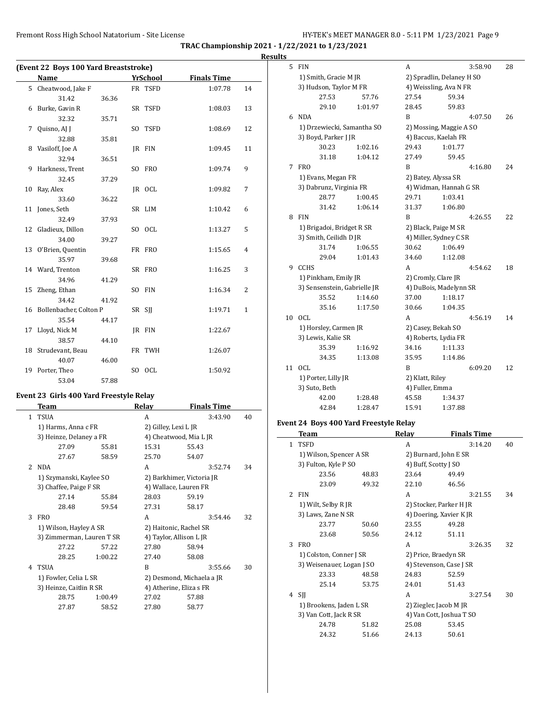**TRAC Championship 2021 - 1/22/2021 to 1/23/2021**

|                                       |       |          |                    |                | <b>Results</b> |
|---------------------------------------|-------|----------|--------------------|----------------|----------------|
| (Event 22 Boys 100 Yard Breaststroke) |       |          |                    |                |                |
| Name                                  |       | YrSchool | <b>Finals Time</b> |                |                |
| 5 Cheatwood, Jake F                   |       | FR TSFD  | 1:07.78            | 14             |                |
| 31.42                                 | 36.36 |          |                    |                |                |
| 6 Burke, Gavin R                      |       | SR TSFD  | 1:08.03            | 13             |                |
| 32.32                                 | 35.71 |          |                    |                |                |
| 7 Quisno, AJ J                        |       | SO TSFD  | 1:08.69            | 12             |                |
| 32.88                                 | 35.81 |          |                    |                |                |
| 8 Vasiloff, Joe A                     |       | IR FIN   | 1:09.45            | 11             |                |
| 32.94                                 | 36.51 |          |                    |                |                |
| 9 Harkness, Trent                     |       | SO FRO   | 1:09.74            | 9              |                |
| 32.45                                 | 37.29 |          |                    |                |                |
| 10 Ray, Alex                          |       | IR OCL   | 1:09.82            | 7              |                |
| 33.60                                 | 36.22 |          |                    |                |                |
| 11 Jones, Seth                        |       | SR LIM   | 1:10.42            | 6              |                |
| 32.49                                 | 37.93 |          |                    |                |                |
| 12 Gladieux, Dillon                   |       | SO OCL   | 1:13.27            | 5              |                |
| 34.00                                 | 39.27 |          |                    |                |                |
| 13 O'Brien, Quentin                   |       | FR FRO   | 1:15.65            | 4              |                |
| 35.97                                 | 39.68 |          |                    |                |                |
| 14 Ward, Trenton                      |       | SR FRO   | 1:16.25            | 3              |                |
| 34.96                                 | 41.29 |          |                    |                |                |
| 15 Zheng, Ethan                       |       | SO FIN   | 1:16.34            | $\overline{2}$ |                |
| 34.42                                 | 41.92 |          |                    |                |                |
| 16 Bollenbacher, Colton P             |       | SR SJJ   | 1:19.71            | $\mathbf{1}$   |                |
| 35.54                                 | 44.17 |          |                    |                | $\mathbf{1}$   |
| 17 Lloyd, Nick M                      |       | JR FIN   | 1:22.67            |                |                |
| 38.57                                 | 44.10 |          |                    |                |                |
| 18 Strudevant, Beau                   |       | FR TWH   | 1:26.07            |                |                |
| 40.07                                 | 46.00 |          |                    |                |                |
| 19 Porter, Theo                       |       | SO OCL   | 1:50.92            |                | $\mathbf{1}$   |
| 53.04                                 | 57.88 |          |                    |                |                |

# **Event 23 Girls 400 Yard Freestyle Relay**

|                | Team                                             |                     | Relay                  | <b>Finals Time</b>        |    |  |
|----------------|--------------------------------------------------|---------------------|------------------------|---------------------------|----|--|
| $\mathbf{1}$   | <b>TSUA</b>                                      |                     | A                      | 3:43.90                   | 40 |  |
|                |                                                  | 1) Harms, Anna c FR |                        | 2) Gilley, Lexi L JR      |    |  |
|                | 3) Heinze, Delaney a FR                          |                     |                        | 4) Cheatwood, Mia L JR    |    |  |
|                | 27.09                                            | 55.81               | 15.31                  | 55.43                     |    |  |
|                | 27.67                                            | 58.59               | 25.70                  | 54.07                     |    |  |
| $\overline{2}$ | <b>NDA</b>                                       |                     | A                      | 3:52.74                   | 34 |  |
|                | 1) Szymanski, Kaylee SO                          |                     |                        | 2) Barkhimer, Victoria JR |    |  |
|                | 3) Chaffee, Paige F SR                           |                     |                        | 4) Wallace, Lauren FR     |    |  |
|                | 27.14                                            | 55.84               | 28.03                  | 59.19                     |    |  |
|                | 28.48                                            | 59.54               | 27.31                  | 58.17                     |    |  |
| 3              | <b>FRO</b>                                       |                     | A                      | 3:54.46                   | 32 |  |
|                | 1) Wilson, Hayley A SR                           |                     | 2) Haitonic, Rachel SR |                           |    |  |
|                | 3) Zimmerman, Lauren T SR                        |                     |                        | 4) Taylor, Allison L JR   |    |  |
|                | 27.22                                            | 57.22               | 27.80                  | 58.94                     |    |  |
|                | 28.25                                            | 1:00.22             | 27.40                  | 58.08                     |    |  |
| 4              | <b>TSUA</b>                                      |                     | R                      | 3:55.66                   | 30 |  |
|                | 1) Fowler, Celia L SR<br>3) Heinze, Caitlin R SR |                     |                        | 2) Desmond, Michaela a JR |    |  |
|                |                                                  |                     |                        | 4) Atherine, Eliza s FR   |    |  |
|                | 28.75                                            | 1:00.49             | 27.02                  | 57.88                     |    |  |
|                | 27.87                                            | 58.52               | 27.80                  | 58.77                     |    |  |
|                |                                                  |                     |                        |                           |    |  |

| 5  | <b>FIN</b>                                          |         | A               | 3:58.90                   | 28 |
|----|-----------------------------------------------------|---------|-----------------|---------------------------|----|
|    | 1) Smith, Gracie M JR                               |         |                 | 2) Spradlin, Delaney H SO |    |
|    | 3) Hudson, Taylor M FR                              |         |                 | 4) Weissling, Ava N FR    |    |
|    | 27.53                                               | 57.76   | 27.54           | 59.34                     |    |
|    | 29.10                                               | 1:01.97 | 28.45           | 59.83                     |    |
| 6  | <b>NDA</b>                                          |         | B               | 4:07.50                   | 26 |
|    | 1) Drzewiecki, Samantha SO                          |         |                 | 2) Mossing, Maggie A SO   |    |
|    | 3) Boyd, Parker J JR                                |         |                 | 4) Baccus, Kaelah FR      |    |
|    | 30.23                                               | 1:02.16 | 29.43           | 1:01.77                   |    |
|    | 31.18                                               | 1:04.12 | 27.49           | 59.45                     |    |
| 7  | <b>FRO</b>                                          |         | B               | 4:16.80                   | 24 |
|    | 1) Evans, Megan FR                                  |         |                 | 2) Batey, Alyssa SR       |    |
|    | 3) Dabrunz, Virginia FR                             |         |                 | 4) Widman, Hannah G SR    |    |
|    | 28.77                                               | 1:00.45 | 29.71           | 1:03.41                   |    |
|    | 31.42                                               | 1:06.14 | 31.37           | 1:06.80                   |    |
| 8  | <b>FIN</b>                                          |         | B               | 4:26.55                   | 22 |
|    | 1) Brigadoi, Bridget R SR<br>3) Smith, Ceilidh D JR |         |                 | 2) Black, Paige M SR      |    |
|    |                                                     |         |                 | 4) Miller, Sydney C SR    |    |
|    | 31.74                                               | 1:06.55 | 30.62           | 1:06.49                   |    |
|    | 29.04                                               | 1:01.43 | 34.60           | 1:12.08                   |    |
| 9  | <b>CCHS</b>                                         |         | A               | 4:54.62                   | 18 |
|    | 1) Pinkham, Emily JR                                |         |                 | 2) Cromly, Clare JR       |    |
|    | 3) Sensenstein, Gabrielle JR                        |         |                 | 4) DuBois, Madelynn SR    |    |
|    | 35.52                                               | 1:14.60 | 37.00           | 1:18.17                   |    |
|    | 35.16                                               | 1:17.50 | 30.66           | 1:04.35                   |    |
| 10 | OCL.                                                |         | A               | 4:56.19                   | 14 |
|    | 1) Horsley, Carmen JR                               |         |                 | 2) Casey, Bekah SO        |    |
|    | 3) Lewis, Kalie SR                                  |         |                 | 4) Roberts, Lydia FR      |    |
|    | 35.39                                               | 1:16.92 | 34.16           | 1:11.33                   |    |
|    | 34.35                                               | 1:13.08 | 35.95           | 1:14.86                   |    |
| 11 | OCL.                                                |         | B               | 6:09.20                   | 12 |
|    | 1) Porter, Lilly JR                                 |         | 2) Klatt, Riley |                           |    |
|    | 3) Suto, Beth                                       |         | 4) Fuller, Emma |                           |    |
|    | 42.00                                               | 1:28.48 | 45.58           | 1:34.37                   |    |
|    | 42.84                                               | 1:28.47 | 15.91           | 1:37.88                   |    |

### **Event 24 Boys 400 Yard Freestyle Relay**

 $\overline{\phantom{0}}$ 

|                | Team                      |       | Relay                    | <b>Finals Time</b> |    |
|----------------|---------------------------|-------|--------------------------|--------------------|----|
| 1.             | <b>TSFD</b>               |       | A                        | 3:14.20            | 40 |
|                | 1) Wilson, Spencer A SR   |       | 2) Burnard, John E SR    |                    |    |
|                | 3) Fulton, Kyle P SO      |       | 4) Buff, Scotty J SO     |                    |    |
|                | 23.56                     | 48.83 | 23.64                    | 49.49              |    |
|                | 23.09                     | 49.32 | 22.10                    | 46.56              |    |
| $\overline{2}$ | <b>FIN</b>                |       | A                        | 3:21.55            | 34 |
|                | 1) Wilt, Selby R JR       |       | 2) Stocker, Parker H JR  |                    |    |
|                | 3) Laws, Zane N SR        |       | 4) Doering, Xavier K JR  |                    |    |
|                | 23.77                     | 50.60 | 23.55                    | 49.28              |    |
|                | 23.68                     | 50.56 | 24.12                    | 51.11              |    |
| 3              | <b>FRO</b>                |       | A                        | 3:26.35            | 32 |
|                | 1) Colston, Conner J SR   |       | 2) Price, Braedyn SR     |                    |    |
|                | 3) Weisenauer, Logan J SO |       | 4) Stevenson, Case J SR  |                    |    |
|                | 23.33                     | 48.58 | 24.83                    | 52.59              |    |
|                | 25.14                     | 53.75 | 24.01                    | 51.43              |    |
| 4              | SJJ                       |       | A                        | 3:27.54            | 30 |
|                | 1) Brookens, Jaden L SR   |       | 2) Ziegler, Jacob M JR   |                    |    |
|                | 3) Van Cott, Jack R SR    |       | 4) Van Cott, Joshua T SO |                    |    |
|                | 24.78                     | 51.82 | 25.08                    | 53.45              |    |
|                | 24.32                     | 51.66 | 24.13                    | 50.61              |    |